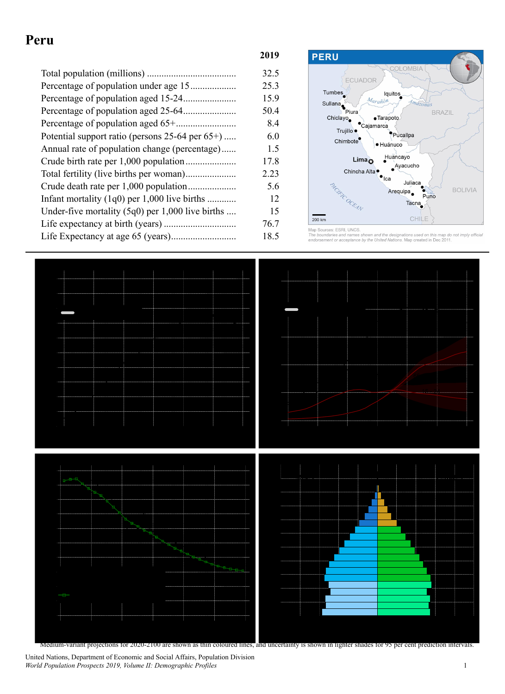## **Peru**

|                                                     | 32.5 |
|-----------------------------------------------------|------|
|                                                     | 25.3 |
|                                                     | 15.9 |
|                                                     | 50.4 |
|                                                     | 8.4  |
| Potential support ratio (persons $25-64$ per $65+)$ | 6.0  |
| Annual rate of population change (percentage)       | 1.5  |
|                                                     | 17.8 |
|                                                     | 2.23 |
|                                                     | 5.6  |
| Infant mortality $(1q0)$ per 1,000 live births      | 12   |
| Under-five mortality $(5q0)$ per 1,000 live births  | 15   |
|                                                     | 76.7 |
|                                                     | 18.5 |



and the designations used on this map do not imply official<br>United Nations. Map created in Dec 2011.



Medium-variant projections for 2020-2100 are shown as thin coloured lines, and uncertainty is shown in lighter shades for 95 per cent prediction intervals.

United Nations, Department of Economic and Social Affairs, Population Division *World Population Prospects 2019, Volume II: Demographic Profiles* 1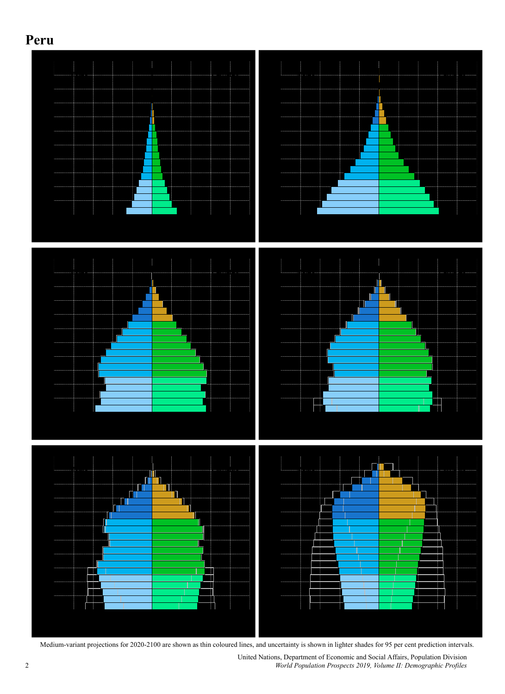



Medium-variant projections for 2020-2100 are shown as thin coloured lines, and uncertainty is shown in lighter shades for 95 per cent prediction intervals.

United Nations, Department of Economic and Social Affairs, Population Division 2 *World Population Prospects 2019, Volume II: Demographic Profiles*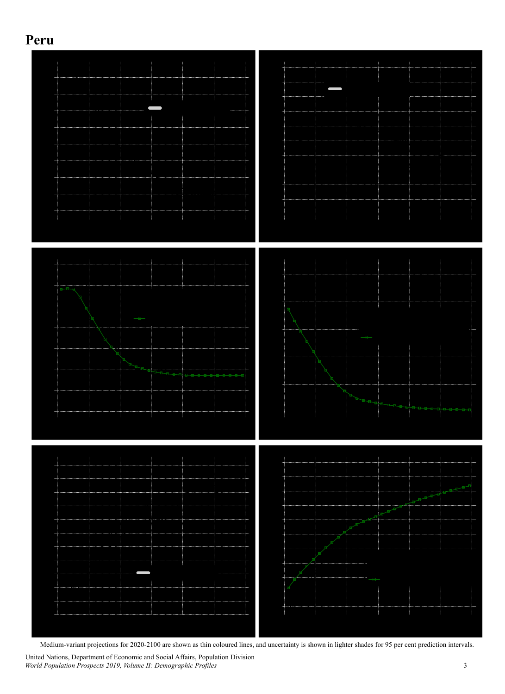## **Peru**



Medium-variant projections for 2020-2100 are shown as thin coloured lines, and uncertainty is shown in lighter shades for 95 per cent prediction intervals.

United Nations, Department of Economic and Social Affairs, Population Division *World Population Prospects 2019, Volume II: Demographic Profiles* 3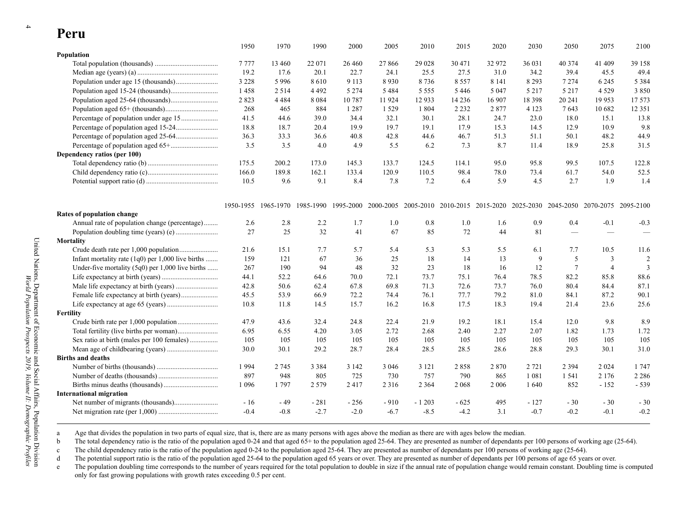| 1 CI U                                             |         |         |         |         |                                                                                                                         |         |         |         |         |                 |                |                         |
|----------------------------------------------------|---------|---------|---------|---------|-------------------------------------------------------------------------------------------------------------------------|---------|---------|---------|---------|-----------------|----------------|-------------------------|
|                                                    | 1950    | 1970    | 1990    | 2000    | 2005                                                                                                                    | 2010    | 2015    | 2020    | 2030    | 2050            | 2075           | 2100                    |
| Population                                         |         |         |         |         |                                                                                                                         |         |         |         |         |                 |                |                         |
|                                                    | 7777    | 13 460  | 22 071  | 26 4 60 | 27866                                                                                                                   | 29 0 28 | 30 471  | 32 972  | 36 031  | 40 374          | 41 409         | 39 158                  |
|                                                    | 19.2    | 17.6    | 20.1    | 22.7    | 24.1                                                                                                                    | 25.5    | 27.5    | 31.0    | 34.2    | 39.4            | 45.5           | 49.4                    |
|                                                    | 3 2 2 8 | 5996    | 8610    | 9 1 1 3 | 8930                                                                                                                    | 8736    | 8557    | 8 1 4 1 | 8 2 9 3 | 7 2 7 4         | 6 2 4 5        | 5 3 8 4                 |
|                                                    | 1458    | 2 5 1 4 | 4 4 9 2 | 5 2 7 4 | 5484                                                                                                                    | 5 5 5 5 | 5446    | 5 0 4 7 | 5 2 1 7 | 5 2 1 7         | 4 5 2 9        | 3850                    |
|                                                    | 2823    | 4 4 8 4 | 8 0 8 4 | 10787   | 11 924                                                                                                                  | 12933   | 14 2 36 | 16 907  | 18 3 98 | 20 24 1         | 19 953         | 17573                   |
|                                                    | 268     | 465     | 884     | 1 2 8 7 | 1 5 2 9                                                                                                                 | 1 804   | 2 2 3 2 | 2877    | 4 1 2 3 | 7643            | 10 682         | 12 3 5 1                |
| Percentage of population under age 15              | 41.5    | 44.6    | 39.0    | 34.4    | 32.1                                                                                                                    | 30.1    | 28.1    | 24.7    | 23.0    | 18.0            | 15.1           | 13.8                    |
|                                                    | 18.8    | 18.7    | 20.4    | 19.9    | 19.7                                                                                                                    | 19.1    | 17.9    | 15.3    | 14.5    | 12.9            | 10.9           | 9.8                     |
|                                                    | 36.3    | 33.3    | 36.6    | 40.8    | 42.8                                                                                                                    | 44.6    | 46.7    | 51.3    | 51.1    | 50.1            | 48.2           | 44.9                    |
|                                                    | 3.5     | 3.5     | 4.0     | 4.9     | 5.5                                                                                                                     | 6.2     | 7.3     | 8.7     | 11.4    | 18.9            | 25.8           | 31.5                    |
| Dependency ratios (per 100)                        |         |         |         |         |                                                                                                                         |         |         |         |         |                 |                |                         |
|                                                    | 175.5   | 200.2   | 173.0   | 145.3   | 133.7                                                                                                                   | 124.5   | 114.1   | 95.0    | 95.8    | 99.5            | 107.5          | 122.8                   |
|                                                    | 166.0   | 189.8   | 162.1   | 133.4   | 120.9                                                                                                                   | 110.5   | 98.4    | 78.0    | 73.4    | 61.7            | 54.0           | 52.5                    |
|                                                    | 10.5    | 9.6     | 9.1     | 8.4     | 7.8                                                                                                                     | 7.2     | 6.4     | 5.9     | 4.5     | 2.7             | 1.9            | 1.4                     |
|                                                    |         |         |         |         |                                                                                                                         |         |         |         |         |                 |                |                         |
|                                                    |         |         |         |         | 1950-1955 1965-1970 1985-1990 1995-2000 2000-2005 2005-2010 2010-2015 2015-2020 2025-2030 2045-2050 2070-2075 2095-2100 |         |         |         |         |                 |                |                         |
| Rates of population change                         |         |         |         |         |                                                                                                                         |         |         |         |         |                 |                |                         |
| Annual rate of population change (percentage)      | 2.6     | 2.8     | 2.2     | 1.7     | 1.0                                                                                                                     | 0.8     | 1.0     | 1.6     | 0.9     | 0.4             | $-0.1$         | $-0.3$                  |
|                                                    | 27      | 25      | 32      | 41      | 67                                                                                                                      | 85      | 72      | 44      | 81      |                 |                |                         |
| Mortality                                          |         |         |         |         |                                                                                                                         |         |         |         |         |                 |                |                         |
|                                                    | 21.6    | 15.1    | 7.7     | 5.7     | 5.4                                                                                                                     | 5.3     | 5.3     | 5.5     | 6.1     | 7.7             | 10.5           | 11.6                    |
| Infant mortality rate (1q0) per 1,000 live births  | 159     | 121     | 67      | 36      | 25                                                                                                                      | 18      | 14      | 13      | 9       | 5               | $\overline{3}$ | $\overline{2}$          |
| Under-five mortality $(5q0)$ per 1,000 live births | 267     | 190     | 94      | 48      | 32                                                                                                                      | 23      | 18      | 16      | 12      | $7\phantom{.0}$ | $\overline{4}$ | $\overline{\mathbf{3}}$ |
|                                                    | 44.1    | 52.2    | 64.6    | 70.0    | 72.1                                                                                                                    | 73.7    | 75.1    | 76.4    | 78.5    | 82.2            | 85.8           | 88.6                    |
|                                                    | 42.8    | 50.6    | 62.4    | 67.8    | 69.8                                                                                                                    | 71.3    | 72.6    | 73.7    | 76.0    | 80.4            | 84.4           | 87.1                    |
|                                                    | 45.5    | 53.9    | 66.9    | 72.2    | 74.4                                                                                                                    | 76.1    | 77.7    | 79.2    | 81.0    | 84.1            | 87.2           | 90.1                    |
|                                                    | 10.8    | 11.8    | 14.5    | 15.7    | 16.2                                                                                                                    | 16.8    | 17.5    | 18.3    | 19.4    | 21.4            | 23.6           | 25.6                    |
| Fertility                                          |         |         |         |         |                                                                                                                         |         |         |         |         |                 |                |                         |
|                                                    | 47.9    | 43.6    | 32.4    | 24.8    | 22.4                                                                                                                    | 21.9    | 19.2    | 18.1    | 15.4    | 12.0            | 9.8            | 8.9                     |
|                                                    | 6.95    | 6.55    | 4.20    | 3.05    | 2.72                                                                                                                    | 2.68    | 2.40    | 2.27    | 2.07    | 1.82            | 1.73           | 1.72                    |
| Sex ratio at birth (males per 100 females)         | 105     | 105     | 105     | 105     | 105                                                                                                                     | 105     | 105     | 105     | 105     | 105             | 105            | 105                     |
|                                                    | 30.0    | 30.1    | 29.2    | 28.7    | 28.4                                                                                                                    | 28.5    | 28.5    | 28.6    | 28.8    | 29.3            | 30.1           | 31.0                    |
| <b>Births and deaths</b>                           |         |         |         |         |                                                                                                                         |         |         |         |         |                 |                |                         |
|                                                    | 1994    | 2 745   | 3 3 8 4 | 3 1 4 2 | 3 0 4 6                                                                                                                 | 3 1 2 1 | 2858    | 2870    | 2 7 2 1 | 2 3 9 4         | 2 0 2 4        | 1747                    |
|                                                    | 897     | 948     | 805     | 725     | 730                                                                                                                     | 757     | 790     | 865     | 1 0 8 1 | 1 541           | 2 1 7 6        | 2 2 8 6                 |
|                                                    | 1 0 9 6 | 1797    | 2 5 7 9 | 2417    | 2 3 1 6                                                                                                                 | 2 3 6 4 | 2 0 6 8 | 2 0 0 6 | 1640    | 852             | $-152$         | $-539$                  |
| <b>International migration</b>                     |         |         |         |         |                                                                                                                         |         |         |         |         |                 |                |                         |
|                                                    | $-16$   | - 49    | $-281$  | $-256$  | $-910$                                                                                                                  | $-1203$ | - 625   | 495     | $-127$  | $-30$           | $-30$          | $-30$                   |
|                                                    | $-0.4$  | $-0.8$  | $-2.7$  | $-2.0$  | $-6.7$                                                                                                                  | $-8.5$  | $-4.2$  | 3.1     | $-0.7$  | $-0.2$          | $-0.1$         | $-0.2$                  |

a Age that divides the population in two parts of equal size, that is, there are as many persons with ages above the median as there are with ages below the median.

b The total dependency ratio is the ratio of the population aged 0-24 and that aged 65+ to the population aged 25-64. They are presented as number of dependants per 100 persons of working age (25-64).

c The child dependency ratio is the ratio of the population aged 0-24 to the population aged 25-64. They are presented as number of dependants per 100 persons of working age (25-64).

d The potential support ratio is the ratio of the population aged 25-64 to the population aged 65 years or over. They are presented as number of dependants per 100 persons of age 65 years or over.

e The population doubling time corresponds to the number of years required for the total population to double in size if the annual rate of population change would remain constant. Doubling time is computed only for fast growing populations with growth rates exceeding 0.5 per cent.

 $P_{\alpha \mu \nu \nu}$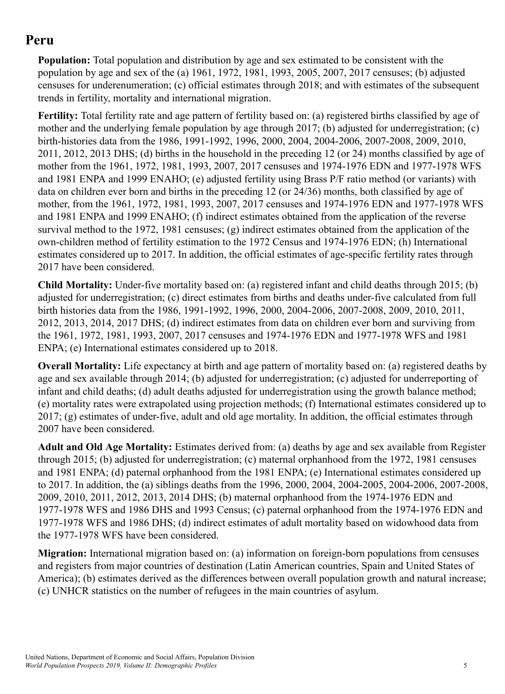# **Peru**

**Population:** Total population and distribution by age and sex estimated to be consistent with the population by age and sex of the (a) 1961, 1972, 1981, 1993, 2005, 2007, 2017 censuses; (b) adjusted censuses for underenumeration; (c) official estimates through 2018; and with estimates of the subsequent trends in fertility, mortality and international migration.

**Fertility:** Total fertility rate and age pattern of fertility based on: (a) registered births classified by age of mother and the underlying female population by age through 2017; (b) adjusted for underregistration; (c) birth-histories data from the 1986, 1991-1992, 1996, 2000, 2004, 2004-2006, 2007-2008, 2009, 2010, 2011, 2012, 2013 DHS; (d) births in the household in the preceding 12 (or 24) months classified by age of mother from the 1961, 1972, 1981, 1993, 2007, 2017 censuses and 1974-1976 EDN and 1977-1978 WFS and 1981 ENPA and 1999 ENAHO; (e) adjusted fertility using Brass P/F ratio method (or variants) with data on children ever born and births in the preceding 12 (or 24/36) months, both classified by age of mother, from the 1961, 1972, 1981, 1993, 2007, 2017 censuses and 1974-1976 EDN and 1977-1978 WFS and 1981 ENPA and 1999 ENAHO; (f) indirect estimates obtained from the application of the reverse survival method to the 1972, 1981 censuses; (g) indirect estimates obtained from the application of the own-children method of fertility estimation to the 1972 Census and 1974-1976 EDN; (h) International estimates considered up to 2017. In addition, the official estimates of age-specific fertility rates through 2017 have been considered.

**Child Mortality:** Under-five mortality based on: (a) registered infant and child deaths through 2015; (b) adjusted for underregistration; (c) direct estimates from births and deaths under-five calculated from full birth histories data from the 1986, 1991-1992, 1996, 2000, 2004-2006, 2007-2008, 2009, 2010, 2011, 2012, 2013, 2014, 2017 DHS; (d) indirect estimates from data on children ever born and surviving from the 1961, 1972, 1981, 1993, 2007, 2017 censuses and 1974-1976 EDN and 1977-1978 WFS and 1981 ENPA; (e) International estimates considered up to 2018.

**Overall Mortality:** Life expectancy at birth and age pattern of mortality based on: (a) registered deaths by age and sex available through 2014; (b) adjusted for underregistration; (c) adjusted for underreporting of infant and child deaths; (d) adult deaths adjusted for underregistration using the growth balance method; (e) mortality rates were extrapolated using projection methods; (f) International estimates considered up to 2017; (g) estimates of under-five, adult and old age mortality. In addition, the official estimates through 2007 have been considered.

**Adult and Old Age Mortality:** Estimates derived from: (a) deaths by age and sex available from Register through 2015; (b) adjusted for underregistration; (c) maternal orphanhood from the 1972, 1981 censuses and 1981 ENPA; (d) paternal orphanhood from the 1981 ENPA; (e) International estimates considered up to 2017. In addition, the (a) siblings deaths from the 1996, 2000, 2004, 2004-2005, 2004-2006, 2007-2008, 2009, 2010, 2011, 2012, 2013, 2014 DHS; (b) maternal orphanhood from the 1974-1976 EDN and 1977-1978 WFS and 1986 DHS and 1993 Census; (c) paternal orphanhood from the 1974-1976 EDN and 1977-1978 WFS and 1986 DHS; (d) indirect estimates of adult mortality based on widowhood data from the 1977-1978 WFS have been considered.

**Migration:** International migration based on: (a) information on foreign-born populations from censuses and registers from major countries of destination (Latin American countries, Spain and United States of America); (b) estimates derived as the differences between overall population growth and natural increase; (c) UNHCR statistics on the number of refugees in the main countries of asylum.